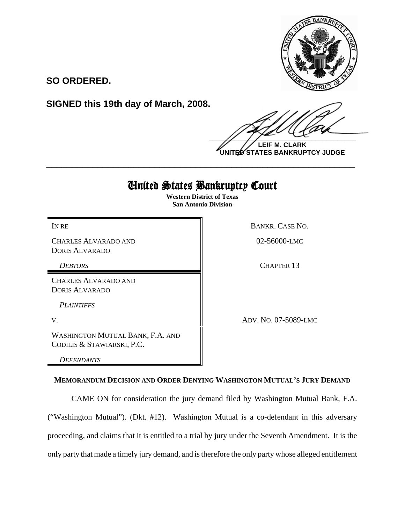

**SO ORDERED.**

**SIGNED this 19th day of March, 2008.**

 $\frac{1}{2}$ 

**LEIF M. CLARK UNITED STATES BANKRUPTCY JUDGE**

# United States Bankruptcy Court

**\_\_\_\_\_\_\_\_\_\_\_\_\_\_\_\_\_\_\_\_\_\_\_\_\_\_\_\_\_\_\_\_\_\_\_\_\_\_\_\_\_\_\_\_\_\_\_\_\_\_\_\_\_\_\_\_\_\_\_\_**

**Western District of Texas San Antonio Division**

CHARLES ALVARADO AND DORIS ALVARADO

CHARLES ALVARADO AND DORIS ALVARADO

*PLAINTIFFS* 

WASHINGTON MUTUAL BANK, F.A. AND CODILIS & STAWIARSKI, P.C.

*DEFENDANTS*

IN RE BANKR. CASE NO.

02-56000-LMC

*DEBTORS* CHAPTER 13

V. ADV. NO. 07-5089-LMC

## **MEMORANDUM DECISION AND ORDER DENYING WASHINGTON MUTUAL'S JURY DEMAND**

CAME ON for consideration the jury demand filed by Washington Mutual Bank, F.A. ("Washington Mutual"). (Dkt. #12). Washington Mutual is a co-defendant in this adversary proceeding, and claims that it is entitled to a trial by jury under the Seventh Amendment. It is the only party that made a timely jury demand, and is therefore the only party whose alleged entitlement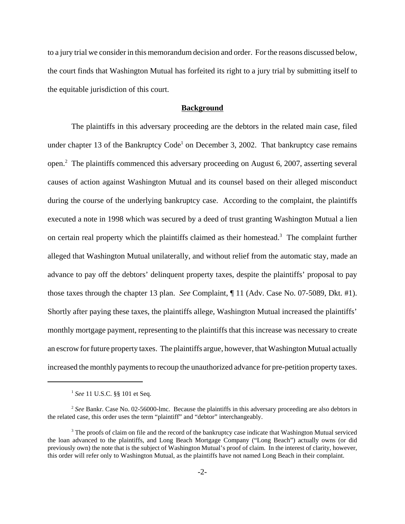to a jury trial we consider in this memorandum decision and order. For the reasons discussed below, the court finds that Washington Mutual has forfeited its right to a jury trial by submitting itself to the equitable jurisdiction of this court.

#### **Background**

The plaintiffs in this adversary proceeding are the debtors in the related main case, filed under chapter 13 of the Bankruptcy  $Code<sup>1</sup>$  on December 3, 2002. That bankruptcy case remains open.<sup>2</sup> The plaintiffs commenced this adversary proceeding on August 6, 2007, asserting several causes of action against Washington Mutual and its counsel based on their alleged misconduct during the course of the underlying bankruptcy case. According to the complaint, the plaintiffs executed a note in 1998 which was secured by a deed of trust granting Washington Mutual a lien on certain real property which the plaintiffs claimed as their homestead.<sup>3</sup> The complaint further alleged that Washington Mutual unilaterally, and without relief from the automatic stay, made an advance to pay off the debtors' delinquent property taxes, despite the plaintiffs' proposal to pay those taxes through the chapter 13 plan. *See* Complaint, ¶ 11 (Adv. Case No. 07-5089, Dkt. #1). Shortly after paying these taxes, the plaintiffs allege, Washington Mutual increased the plaintiffs' monthly mortgage payment, representing to the plaintiffs that this increase was necessary to create an escrow for future property taxes. The plaintiffs argue, however, that Washington Mutual actually increased the monthly payments to recoup the unauthorized advance for pre-petition property taxes.

<sup>1</sup> *See* 11 U.S.C. §§ 101 et Seq.

<sup>2</sup> *See* Bankr. Case No. 02-56000-lmc. Because the plaintiffs in this adversary proceeding are also debtors in the related case, this order uses the term "plaintiff" and "debtor" interchangeably.

<sup>&</sup>lt;sup>3</sup> The proofs of claim on file and the record of the bankruptcy case indicate that Washington Mutual serviced the loan advanced to the plaintiffs, and Long Beach Mortgage Company ("Long Beach") actually owns (or did previously own) the note that is the subject of Washington Mutual's proof of claim. In the interest of clarity, however, this order will refer only to Washington Mutual, as the plaintiffs have not named Long Beach in their complaint.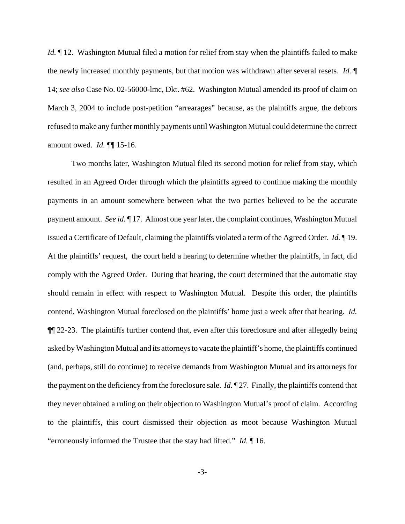*Id.*  $\parallel$  12. Washington Mutual filed a motion for relief from stay when the plaintiffs failed to make the newly increased monthly payments, but that motion was withdrawn after several resets. *Id.* ¶ 14; *see also* Case No. 02-56000-lmc, Dkt. #62. Washington Mutual amended its proof of claim on March 3, 2004 to include post-petition "arrearages" because, as the plaintiffs argue, the debtors refused to make any further monthly payments until Washington Mutual could determine the correct amount owed. *Id.* ¶¶ 15-16.

Two months later, Washington Mutual filed its second motion for relief from stay, which resulted in an Agreed Order through which the plaintiffs agreed to continue making the monthly payments in an amount somewhere between what the two parties believed to be the accurate payment amount. *See id.* ¶ 17. Almost one year later, the complaint continues, Washington Mutual issued a Certificate of Default, claiming the plaintiffs violated a term of the Agreed Order. *Id.* ¶ 19. At the plaintiffs' request, the court held a hearing to determine whether the plaintiffs, in fact, did comply with the Agreed Order. During that hearing, the court determined that the automatic stay should remain in effect with respect to Washington Mutual. Despite this order, the plaintiffs contend, Washington Mutual foreclosed on the plaintiffs' home just a week after that hearing. *Id.* ¶¶ 22-23. The plaintiffs further contend that, even after this foreclosure and after allegedly being asked by Washington Mutual and its attorneys to vacate the plaintiff's home, the plaintiffs continued (and, perhaps, still do continue) to receive demands from Washington Mutual and its attorneys for the payment on the deficiency from the foreclosure sale. *Id.* ¶ 27. Finally, the plaintiffs contend that they never obtained a ruling on their objection to Washington Mutual's proof of claim. According to the plaintiffs, this court dismissed their objection as moot because Washington Mutual "erroneously informed the Trustee that the stay had lifted." *Id.* ¶ 16.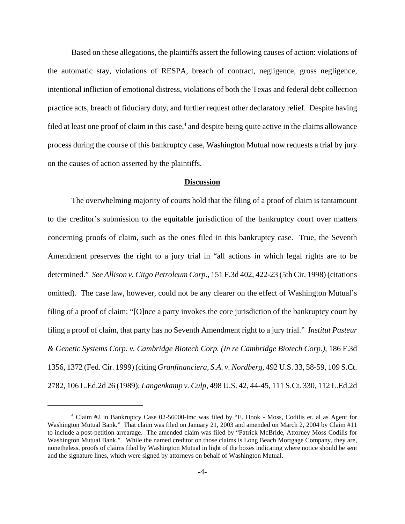Based on these allegations, the plaintiffs assert the following causes of action: violations of the automatic stay, violations of RESPA, breach of contract, negligence, gross negligence, intentional infliction of emotional distress, violations of both the Texas and federal debt collection practice acts, breach of fiduciary duty, and further request other declaratory relief. Despite having filed at least one proof of claim in this case,<sup>4</sup> and despite being quite active in the claims allowance process during the course of this bankruptcy case, Washington Mutual now requests a trial by jury on the causes of action asserted by the plaintiffs.

### **Discussion**

The overwhelming majority of courts hold that the filing of a proof of claim is tantamount to the creditor's submission to the equitable jurisdiction of the bankruptcy court over matters concerning proofs of claim, such as the ones filed in this bankruptcy case. True, the Seventh Amendment preserves the right to a jury trial in "all actions in which legal rights are to be determined." *See Allison v. Citgo Petroleum Corp.,* 151 F.3d 402, 422-23 (5th Cir. 1998) (citations omitted). The case law, however, could not be any clearer on the effect of Washington Mutual's filing of a proof of claim: "[O]nce a party invokes the core jurisdiction of the bankruptcy court by filing a proof of claim, that party has no Seventh Amendment right to a jury trial." *Institut Pasteur & Genetic Systems Corp. v. Cambridge Biotech Corp. (In re Cambridge Biotech Corp.),* 186 F.3d 1356, 1372 (Fed. Cir. 1999) (citing *Granfinanciera, S.A. v. Nordberg,* 492 U.S. 33, 58-59, 109 S.Ct. 2782, 106 L.Ed.2d 26 (1989); *Langenkamp v. Culp,* 498 U.S. 42, 44-45, 111 S.Ct. 330, 112 L.Ed.2d

<sup>4</sup> Claim #2 in Bankruptcy Case 02-56000-lmc was filed by "E. Hook - Moss, Codilis et. al as Agent for Washington Mutual Bank." That claim was filed on January 21, 2003 and amended on March 2, 2004 by Claim #11 to include a post-petition arrearage. The amended claim was filed by "Patrick McBride, Attorney Moss Codilis for Washington Mutual Bank." While the named creditor on those claims is Long Beach Mortgage Company, they are, nonetheless, proofs of claims filed by Washington Mutual in light of the boxes indicating where notice should be sent and the signature lines, which were signed by attorneys on behalf of Washington Mutual.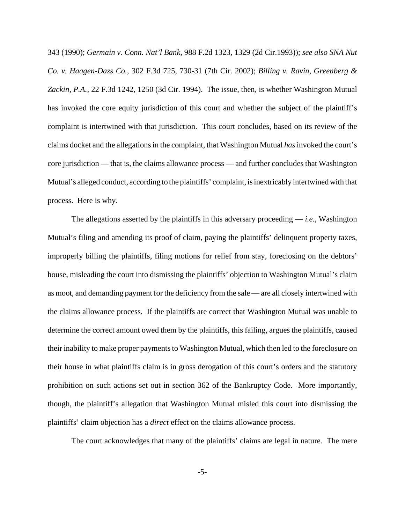343 (1990); *Germain v. Conn. Nat'l Bank,* 988 F.2d 1323, 1329 (2d Cir.1993)); *see also SNA Nut Co. v. Haagen-Dazs Co.,* 302 F.3d 725, 730-31 (7th Cir. 2002); *Billing v. Ravin, Greenberg & Zackin, P.A.,* 22 F.3d 1242, 1250 (3d Cir. 1994). The issue, then, is whether Washington Mutual has invoked the core equity jurisdiction of this court and whether the subject of the plaintiff's complaint is intertwined with that jurisdiction. This court concludes, based on its review of the claims docket and the allegations in the complaint, that Washington Mutual *has* invoked the court's core jurisdiction — that is, the claims allowance process — and further concludes that Washington Mutual's alleged conduct, according to the plaintiffs' complaint, is inextricably intertwined with that process. Here is why.

The allegations asserted by the plaintiffs in this adversary proceeding  $-$  *i.e.*, Washington Mutual's filing and amending its proof of claim, paying the plaintiffs' delinquent property taxes, improperly billing the plaintiffs, filing motions for relief from stay, foreclosing on the debtors' house, misleading the court into dismissing the plaintiffs' objection to Washington Mutual's claim as moot, and demanding payment for the deficiency from the sale — are all closely intertwined with the claims allowance process. If the plaintiffs are correct that Washington Mutual was unable to determine the correct amount owed them by the plaintiffs, this failing, argues the plaintiffs, caused their inability to make proper payments to Washington Mutual, which then led to the foreclosure on their house in what plaintiffs claim is in gross derogation of this court's orders and the statutory prohibition on such actions set out in section 362 of the Bankruptcy Code. More importantly, though, the plaintiff's allegation that Washington Mutual misled this court into dismissing the plaintiffs' claim objection has a *direct* effect on the claims allowance process.

The court acknowledges that many of the plaintiffs' claims are legal in nature. The mere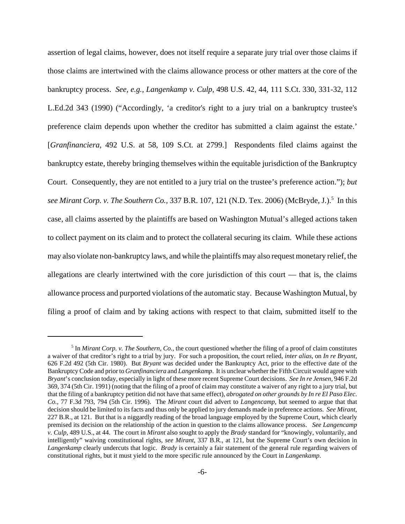assertion of legal claims, however, does not itself require a separate jury trial over those claims if those claims are intertwined with the claims allowance process or other matters at the core of the bankruptcy process. *See, e.g., Langenkamp v. Culp,* 498 U.S. 42, 44, 111 S.Ct. 330, 331-32, 112 L.Ed.2d 343 (1990) ("Accordingly, 'a creditor's right to a jury trial on a bankruptcy trustee's preference claim depends upon whether the creditor has submitted a claim against the estate.' [*Granfinanciera,* 492 U.S. at 58, 109 S.Ct. at 2799.] Respondents filed claims against the bankruptcy estate, thereby bringing themselves within the equitable jurisdiction of the Bankruptcy Court. Consequently, they are not entitled to a jury trial on the trustee's preference action."); *but* see Mirant Corp. v. The Southern Co., 337 B.R. 107, 121 (N.D. Tex. 2006) (McBryde, J.).<sup>5</sup> In this case, all claims asserted by the plaintiffs are based on Washington Mutual's alleged actions taken to collect payment on its claim and to protect the collateral securing its claim. While these actions may also violate non-bankruptcy laws, and while the plaintiffs may also request monetary relief, the allegations are clearly intertwined with the core jurisdiction of this court — that is, the claims allowance process and purported violations of the automatic stay. Because Washington Mutual, by filing a proof of claim and by taking actions with respect to that claim, submitted itself to the

<sup>&</sup>lt;sup>5</sup> In *Mirant Corp. v. The Southern, Co.*, the court questioned whether the filing of a proof of claim constitutes a waiver of that creditor's right to a trial by jury. For such a proposition, the court relied, *inter alias*, on *In re Bryant,* 626 F.2d 492 (5th Cir. 1980). But *Bryant* was decided under the Bankruptcy Act, prior to the effective date of the Bankruptcy Code and prior to *Granfinanciera* and *Langenkamp*. It is unclear whether the Fifth Circuit would agree with *Bryant*'s conclusion today, especially in light of these more recent Supreme Court decisions. *See In re Jensen,* 946 F.2d 369, 374 (5th Cir. 1991) (noting that the filing of a proof of claim may constitute a waiver of any right to a jury trial, but that the filing of a bankruptcy petition did not have that same effect), *abrogated on other grounds by In re El Paso Elec. Co.,* 77 F.3d 793, 794 (5th Cir. 1996). The *Mirant* court did advert to *Langencamp*, but seemed to argue that that decision should be limited to its facts and thus only be applied to jury demands made in preference actions. *See Mirant*, 227 B.R., at 121. But that is a niggardly reading of the broad language employed by the Supreme Court, which clearly premised its decision on the relationship of the action in question to the claims allowance process. *See Langencamp v. Culp*, 489 U.S., at 44. The court in *Mirant* also sought to apply the *Brady* standard for "knowingly, voluntarily, and intelligently" waiving constitutional rights, *see Mirant*, 337 B.R., at 121, but the Supreme Court's own decision in *Langenkamp* clearly undercuts that logic. *Brady* is certainly a fair statement of the general rule regarding waivers of constitutional rights, but it must yield to the more specific rule announced by the Court in *Langenkamp*.